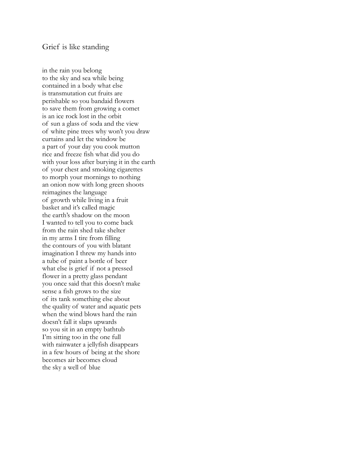in the rain you belong to the sky and sea while being contained in a body what else is transmutation cut fruits are perishable so you bandaid flowers to save them from growing a comet is an ice rock lost in the orbit of sun a glass of soda and the view of white pine trees why won't you draw curtains and let the window be a part of your day you cook mutton rice and freeze fish what did you do with your loss after burying it in the earth of your chest and smoking cigarettes to morph your mornings to nothing an onion now with long green shoots reimagines the language of growth while living in a fruit basket and it's called magic the earth's shadow on the moon I wanted to tell you to come back from the rain shed take shelter in my arms I tire from filling the contours of you with blatant imagination I threw my hands into a tube of paint a bottle of beer what else is grief if not a pressed flower in a pretty glass pendant you once said that this doesn't make sense a fish grows to the size of its tank something else about the quality of water and aquatic pets when the wind blows hard the rain doesn't fall it slaps upwards so you sit in an empty bathtub I'm sitting too in the one full with rainwater a jellyfish disappears in a few hours of being at the shore becomes air becomes cloud the sky a well of blue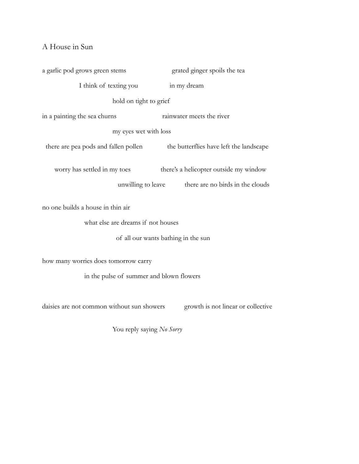## A House in Sun

a garlic pod grows green stems grated ginger spoils the tea I think of texting you in my dream hold on tight to grief in a painting the sea churns rainwater meets the river my eyes wet with loss there are pea pods and fallen pollen the butterflies have left the landscape worry has settled in my toes there's a helicopter outside my window unwilling to leave there are no birds in the clouds no one builds a house in thin air what else are dreams if not houses of all our wants bathing in the sun how many worries does tomorrow carry in the pulse of summer and blown flowers

daisies are not common without sun showers growth is not linear or collective

You reply saying *No Sorry*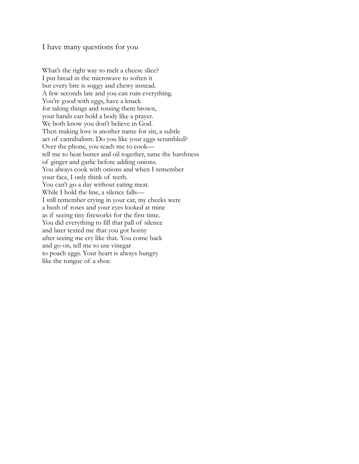I have many questions for you

What's the right way to melt a cheese slice? I put bread in the microwave to soften it but every bite is soggy and chewy instead. A few seconds late and you can ruin everything. You're good with eggs, have a knack for taking things and tossing them brown, your hands can hold a body like a prayer. We both know you don't believe in God. Then making love is another name for sin, a subtle act of cannibalism. Do you like your eggs scrambled? Over the phone, you teach me to cook tell me to heat butter and oil together, tame the harshness of ginger and garlic before adding onions. You always cook with onions and when I remember your face, I only think of teeth. You can't go a day without eating meat. While I hold the line, a silence falls— I still remember crying in your car, my cheeks were a bush of roses and your eyes looked at mine as if seeing tiny fireworks for the first time. You did everything to fill that pall of silence and later texted me that you got horny after seeing me cry like that. You come back and go on, tell me to use vinegar to poach eggs. Your heart is always hungry like the tongue of a shoe.